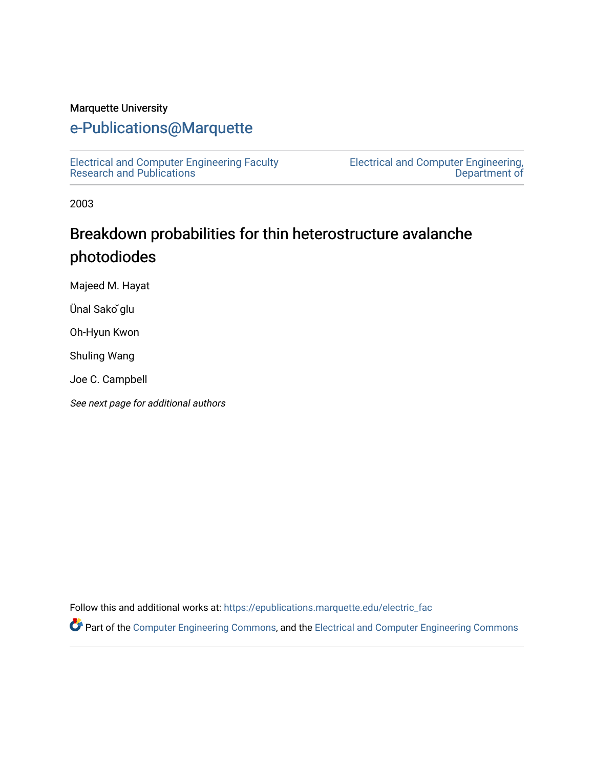#### Marquette University

## [e-Publications@Marquette](https://epublications.marquette.edu/)

[Electrical and Computer Engineering Faculty](https://epublications.marquette.edu/electric_fac) [Research and Publications](https://epublications.marquette.edu/electric_fac) 

[Electrical and Computer Engineering,](https://epublications.marquette.edu/electric)  [Department of](https://epublications.marquette.edu/electric) 

2003

# Breakdown probabilities for thin heterostructure avalanche photodiodes

Majeed M. Hayat

Ünal Sako ̆glu

Oh-Hyun Kwon

Shuling Wang

Joe C. Campbell

See next page for additional authors

Follow this and additional works at: [https://epublications.marquette.edu/electric\\_fac](https://epublications.marquette.edu/electric_fac?utm_source=epublications.marquette.edu%2Felectric_fac%2F528&utm_medium=PDF&utm_campaign=PDFCoverPages) 

Part of the [Computer Engineering Commons,](http://network.bepress.com/hgg/discipline/258?utm_source=epublications.marquette.edu%2Felectric_fac%2F528&utm_medium=PDF&utm_campaign=PDFCoverPages) and the [Electrical and Computer Engineering Commons](http://network.bepress.com/hgg/discipline/266?utm_source=epublications.marquette.edu%2Felectric_fac%2F528&utm_medium=PDF&utm_campaign=PDFCoverPages)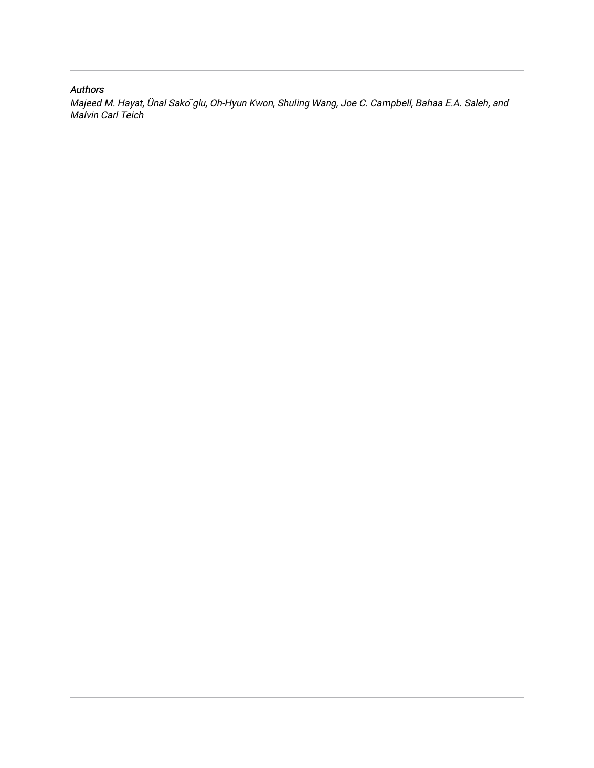#### Authors

Majeed M. Hayat, Ünal Sako ̆glu, Oh-Hyun Kwon, Shuling Wang, Joe C. Campbell, Bahaa E.A. Saleh, and Malvin Carl Teich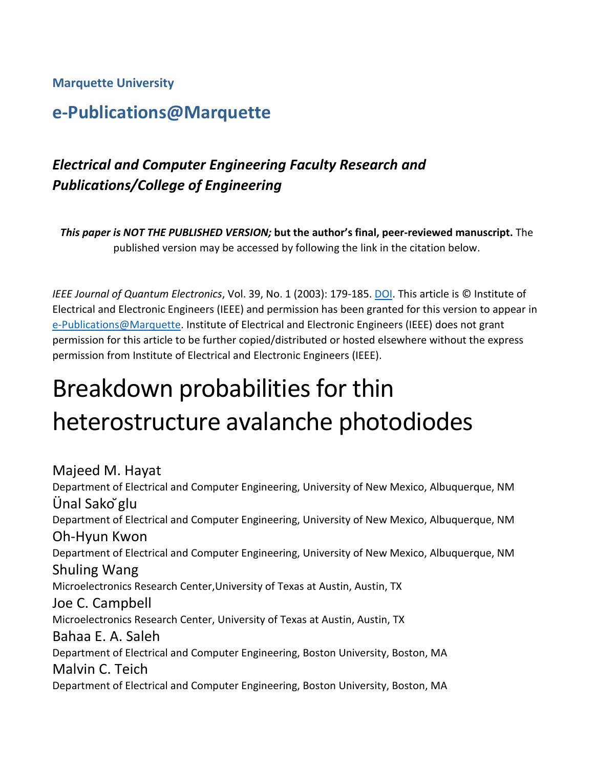## **Marquette University**

# **e-Publications@Marquette**

# *Electrical and Computer Engineering Faculty Research and Publications/College of Engineering*

*This paper is NOT THE PUBLISHED VERSION;* **but the author's final, peer-reviewed manuscript.** The published version may be accessed by following the link in the citation below.

*IEEE Journal of Quantum Electronics*, Vol. 39, No. 1 (2003): 179-185. [DOI.](https://dx.doi.org/10.1109/JQE.2002.806217) This article is © Institute of Electrical and Electronic Engineers (IEEE) and permission has been granted for this version to appear in [e-Publications@Marquette.](http://epublications.marquette.edu/) Institute of Electrical and Electronic Engineers (IEEE) does not grant permission for this article to be further copied/distributed or hosted elsewhere without the express permission from Institute of Electrical and Electronic Engineers (IEEE).

# Breakdown probabilities for thin heterostructure avalanche photodiodes

Majeed M. Hayat Department of Electrical and Computer Engineering, University of New Mexico, Albuquerque, NM Ünal Sako ̆glu Department of Electrical and Computer Engineering, University of New Mexico, Albuquerque, NM Oh-Hyun Kwon Department of Electrical and Computer Engineering, University of New Mexico, Albuquerque, NM Shuling Wang Microelectronics Research Center,University of Texas at Austin, Austin, TX Joe C. Campbell Microelectronics Research Center, University of Texas at Austin, Austin, TX Bahaa E. A. Saleh Department of Electrical and Computer Engineering, Boston University, Boston, MA Malvin C. Teich Department of Electrical and Computer Engineering, Boston University, Boston, MA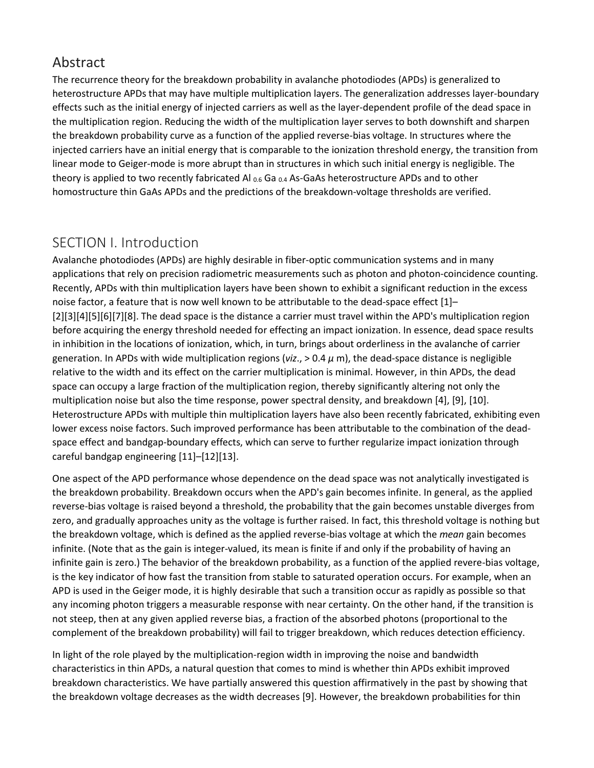## Abstract

The recurrence theory for the breakdown probability in avalanche photodiodes (APDs) is generalized to heterostructure APDs that may have multiple multiplication layers. The generalization addresses layer-boundary effects such as the initial energy of injected carriers as well as the layer-dependent profile of the dead space in the multiplication region. Reducing the width of the multiplication layer serves to both downshift and sharpen the breakdown probability curve as a function of the applied reverse-bias voltage. In structures where the injected carriers have an initial energy that is comparable to the ionization threshold energy, the transition from linear mode to Geiger-mode is more abrupt than in structures in which such initial energy is negligible. The theory is applied to two recently fabricated Al  $_{0.6}$  Ga  $_{0.4}$  As-GaAs heterostructure APDs and to other homostructure thin GaAs APDs and the predictions of the breakdown-voltage thresholds are verified.

## SECTION I. Introduction

Avalanche photodiodes (APDs) are highly desirable in fiber-optic communication systems and in many applications that rely on precision radiometric measurements such as photon and photon-coincidence counting. Recently, APDs with thin multiplication layers have been shown to exhibit a significant reduction in the excess noise factor, a feature that is now well known to be attributable to the dead-space effect [1]– [2][3][4][5][6][7][8]. The dead space is the distance a carrier must travel within the APD's multiplication region before acquiring the energy threshold needed for effecting an impact ionization. In essence, dead space results in inhibition in the locations of ionization, which, in turn, brings about orderliness in the avalanche of carrier generation. In APDs with wide multiplication regions (*viz*., > 0.4 *μ* m), the dead-space distance is negligible relative to the width and its effect on the carrier multiplication is minimal. However, in thin APDs, the dead space can occupy a large fraction of the multiplication region, thereby significantly altering not only the multiplication noise but also the time response, power spectral density, and breakdown [4], [9], [10]. Heterostructure APDs with multiple thin multiplication layers have also been recently fabricated, exhibiting even lower excess noise factors. Such improved performance has been attributable to the combination of the deadspace effect and bandgap-boundary effects, which can serve to further regularize impact ionization through careful bandgap engineering [11]–[12][13].

One aspect of the APD performance whose dependence on the dead space was not analytically investigated is the breakdown probability. Breakdown occurs when the APD's gain becomes infinite. In general, as the applied reverse-bias voltage is raised beyond a threshold, the probability that the gain becomes unstable diverges from zero, and gradually approaches unity as the voltage is further raised. In fact, this threshold voltage is nothing but the breakdown voltage, which is defined as the applied reverse-bias voltage at which the *mean* gain becomes infinite. (Note that as the gain is integer-valued, its mean is finite if and only if the probability of having an infinite gain is zero.) The behavior of the breakdown probability, as a function of the applied revere-bias voltage, is the key indicator of how fast the transition from stable to saturated operation occurs. For example, when an APD is used in the Geiger mode, it is highly desirable that such a transition occur as rapidly as possible so that any incoming photon triggers a measurable response with near certainty. On the other hand, if the transition is not steep, then at any given applied reverse bias, a fraction of the absorbed photons (proportional to the complement of the breakdown probability) will fail to trigger breakdown, which reduces detection efficiency.

In light of the role played by the multiplication-region width in improving the noise and bandwidth characteristics in thin APDs, a natural question that comes to mind is whether thin APDs exhibit improved breakdown characteristics. We have partially answered this question affirmatively in the past by showing that the breakdown voltage decreases as the width decreases [9]. However, the breakdown probabilities for thin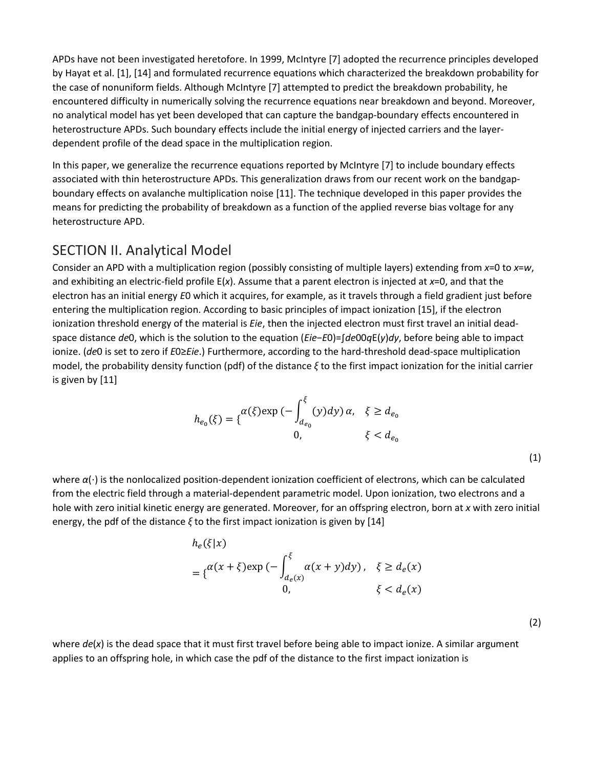APDs have not been investigated heretofore. In 1999, McIntyre [7] adopted the recurrence principles developed by Hayat et al. [1], [14] and formulated recurrence equations which characterized the breakdown probability for the case of nonuniform fields. Although McIntyre [7] attempted to predict the breakdown probability, he encountered difficulty in numerically solving the recurrence equations near breakdown and beyond. Moreover, no analytical model has yet been developed that can capture the bandgap-boundary effects encountered in heterostructure APDs. Such boundary effects include the initial energy of injected carriers and the layerdependent profile of the dead space in the multiplication region.

In this paper, we generalize the recurrence equations reported by McIntyre [7] to include boundary effects associated with thin heterostructure APDs. This generalization draws from our recent work on the bandgapboundary effects on avalanche multiplication noise [11]. The technique developed in this paper provides the means for predicting the probability of breakdown as a function of the applied reverse bias voltage for any heterostructure APD.

## SECTION II. Analytical Model

Consider an APD with a multiplication region (possibly consisting of multiple layers) extending from *x*=0 to *x*=*w*, and exhibiting an electric-field profile E(*x*). Assume that a parent electron is injected at *x*=0, and that the electron has an initial energy *E*0 which it acquires, for example, as it travels through a field gradient just before entering the multiplication region. According to basic principles of impact ionization [15], if the electron ionization threshold energy of the material is *Eie*, then the injected electron must first travel an initial deadspace distance *de*0, which is the solution to the equation (*Eie*−*E*0)=∫*de*00*q*E(*y*)*dy*, before being able to impact ionize. (*de*0 is set to zero if *E*0≥*Eie*.) Furthermore, according to the hard-threshold dead-space multiplication model, the probability density function (pdf) of the distance *ξ* to the first impact ionization for the initial carrier is given by [11]

$$
h_{e_0}(\xi) = \{ \begin{cases} \alpha(\xi) \exp(-\int_{d_{e_0}}^{\xi} (y) dy) \, \alpha, & \xi \ge d_{e_0} \\ 0, & \xi < d_{e_0} \end{cases}
$$

| I |  |
|---|--|
|   |  |

where *α*(⋅) is the nonlocalized position-dependent ionization coefficient of electrons, which can be calculated from the electric field through a material-dependent parametric model. Upon ionization, two electrons and a hole with zero initial kinetic energy are generated. Moreover, for an offspring electron, born at *x* with zero initial energy, the pdf of the distance *ξ* to the first impact ionization is given by [14]

$$
h_e(\xi|x)
$$
  
=  $\{\alpha(x+\xi)\exp(-\int_{d_e(x)}^{\xi} \alpha(x+y)dy), \xi \ge d_e(x)$   
0,  $\xi < d_e(x)$ 

where  $de(x)$  is the dead space that it must first travel before being able to impact ionize. A similar argument applies to an offspring hole, in which case the pdf of the distance to the first impact ionization is

(2)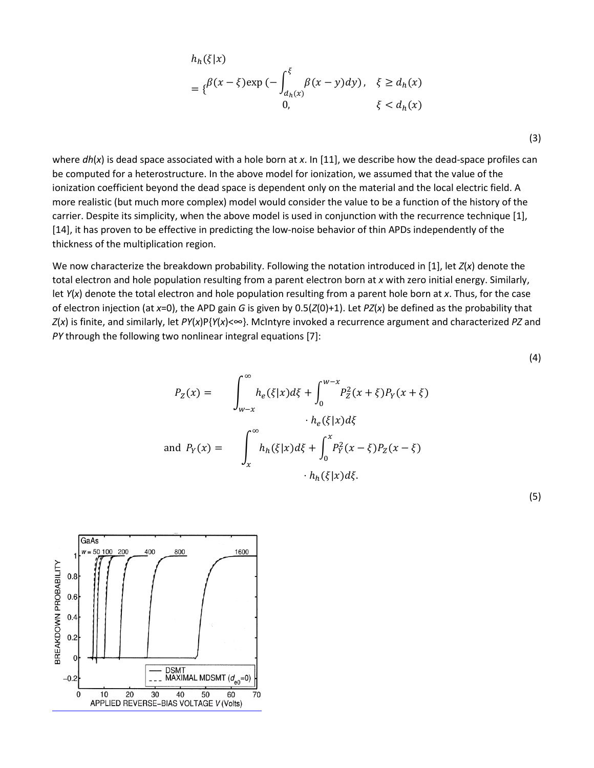$$
h_h(\xi|x)
$$
  
=  $\{\beta(x-\xi)\exp(-\int_{d_h(x)}^{\xi}\beta(x-y)dy), \xi \ge d_h(x)$   
0,  $\xi < d_h(x)$ 

where *dh*(*x*) is dead space associated with a hole born at *x*. In [11], we describe how the dead-space profiles can be computed for a heterostructure. In the above model for ionization, we assumed that the value of the ionization coefficient beyond the dead space is dependent only on the material and the local electric field. A more realistic (but much more complex) model would consider the value to be a function of the history of the carrier. Despite its simplicity, when the above model is used in conjunction with the recurrence technique [1], [14], it has proven to be effective in predicting the low-noise behavior of thin APDs independently of the thickness of the multiplication region.

We now characterize the breakdown probability. Following the notation introduced in [1], let *Z*(*x*) denote the total electron and hole population resulting from a parent electron born at *x* with zero initial energy. Similarly, let *Y*(*x*) denote the total electron and hole population resulting from a parent hole born at *x*. Thus, for the case of electron injection (at *x*=0), the APD gain *G* is given by 0.5(*Z*(0)+1). Let *PZ*(*x*) be defined as the probability that *Z*(*x*) is finite, and similarly, let *PY*(*x*)P{*Y*(*x*)<∞}. McIntyre invoked a recurrence argument and characterized *PZ* and *PY* through the following two nonlinear integral equations [7]:

$$
P_Z(x) = \int_{w-x}^{\infty} h_e(\xi|x) d\xi + \int_0^{w-x} P_Z^2(x+\xi) P_Y(x+\xi)
$$

$$
\cdot h_e(\xi|x) d\xi
$$
  
and 
$$
P_Y(x) = \int_x^{\infty} h_h(\xi|x) d\xi + \int_0^x P_Y^2(x-\xi) P_Z(x-\xi)
$$

$$
\cdot h_h(\xi|x) d\xi.
$$

(5)

(4)

(3)

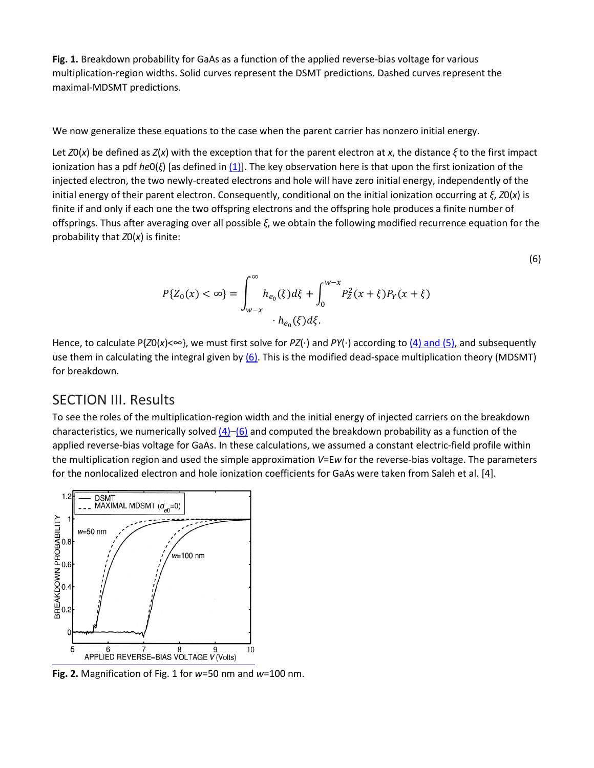**Fig. 1.** Breakdown probability for GaAs as a function of the applied reverse-bias voltage for various multiplication-region widths. Solid curves represent the DSMT predictions. Dashed curves represent the maximal-MDSMT predictions.

We now generalize these equations to the case when the parent carrier has nonzero initial energy.

Let *Z*0(*x*) be defined as *Z*(*x*) with the exception that for the parent electron at *x*, the distance *ξ* to the first impact ionization has a pdf *he*0(*ξ*) [as defined in [\(1\)\]](https://ieeexplore.ieee.org/document/#deqn1). The key observation here is that upon the first ionization of the injected electron, the two newly-created electrons and hole will have zero initial energy, independently of the initial energy of their parent electron. Consequently, conditional on the initial ionization occurring at *ξ*, *Z*0(*x*) is finite if and only if each one the two offspring electrons and the offspring hole produces a finite number of offsprings. Thus after averaging over all possible *ξ*, we obtain the following modified recurrence equation for the probability that *Z*0(*x*) is finite:

$$
P\{Z_0(x) < \infty\} = \int_{w-x}^{\infty} h_{e_0}(\xi) d\xi + \int_0^{w-x} P_Z^2(x+\xi) P_Y(x+\xi) \cdot h_{e_0}(\xi) d\xi.
$$

(6)

Hence, to calculate P{*Z*0(*x*)<∞}, we must first solve for *PZ*(⋅) and *PY*(⋅) according to [\(4\) and \(5\),](https://ieeexplore.ieee.org/document/#deqn4-5) and subsequently use them in calculating the integral given by  $(6)$ . This is the modified dead-space multiplication theory (MDSMT) for breakdown.

#### SECTION III. Results

To see the roles of the multiplication-region width and the initial energy of injected carriers on the breakdown characteristics, we numerically solved  $(4)$ –[\(6\)](https://ieeexplore.ieee.org/document/#deqn6) and computed the breakdown probability as a function of the applied reverse-bias voltage for GaAs. In these calculations, we assumed a constant electric-field profile within the multiplication region and used the simple approximation *V*=E*w* for the reverse-bias voltage. The parameters for the nonlocalized electron and hole ionization coefficients for GaAs were taken from Saleh et al. [4].



**Fig. 2.** Magnification of Fig. 1 for *w*=50 nm and *w*=100 nm.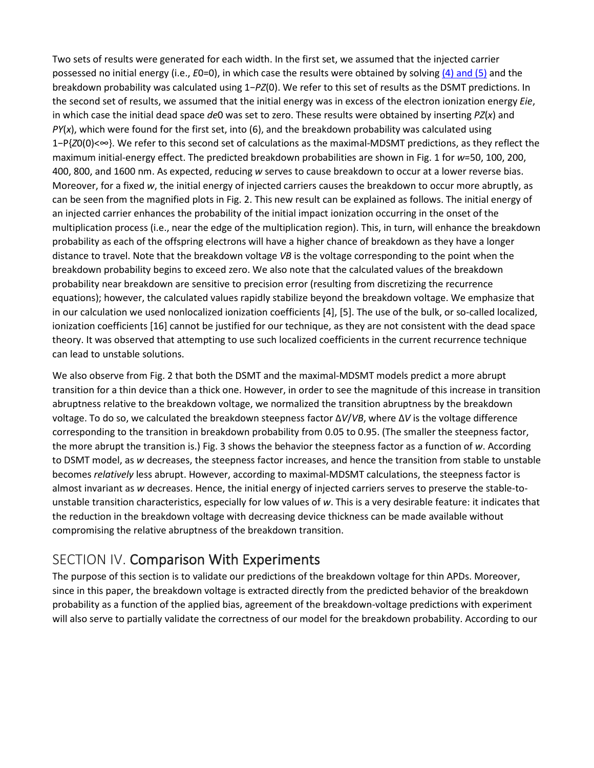Two sets of results were generated for each width. In the first set, we assumed that the injected carrier possessed no initial energy (i.e., *E*0=0), in which case the results were obtained by solvin[g \(4\) and \(5\)](https://ieeexplore.ieee.org/document/#deqn4-5) and the breakdown probability was calculated using 1−*PZ*(0). We refer to this set of results as the DSMT predictions. In the second set of results, we assumed that the initial energy was in excess of the electron ionization energy *Eie*, in which case the initial dead space *de*0 was set to zero. These results were obtained by inserting *PZ*(*x*) and *PY*(*x*), which were found for the first set, into (6), and the breakdown probability was calculated using 1−P{*Z*0(0)<∞}. We refer to this second set of calculations as the maximal-MDSMT predictions, as they reflect the maximum initial-energy effect. The predicted breakdown probabilities are shown in Fig. 1 for *w*=50, 100, 200, 400, 800, and 1600 nm. As expected, reducing *w* serves to cause breakdown to occur at a lower reverse bias. Moreover, for a fixed *w*, the initial energy of injected carriers causes the breakdown to occur more abruptly, as can be seen from the magnified plots in Fig. 2. This new result can be explained as follows. The initial energy of an injected carrier enhances the probability of the initial impact ionization occurring in the onset of the multiplication process (i.e., near the edge of the multiplication region). This, in turn, will enhance the breakdown probability as each of the offspring electrons will have a higher chance of breakdown as they have a longer distance to travel. Note that the breakdown voltage *VB* is the voltage corresponding to the point when the breakdown probability begins to exceed zero. We also note that the calculated values of the breakdown probability near breakdown are sensitive to precision error (resulting from discretizing the recurrence equations); however, the calculated values rapidly stabilize beyond the breakdown voltage. We emphasize that in our calculation we used nonlocalized ionization coefficients [4], [5]. The use of the bulk, or so-called localized, ionization coefficients [16] cannot be justified for our technique, as they are not consistent with the dead space theory. It was observed that attempting to use such localized coefficients in the current recurrence technique can lead to unstable solutions.

We also observe from Fig. 2 that both the DSMT and the maximal-MDSMT models predict a more abrupt transition for a thin device than a thick one. However, in order to see the magnitude of this increase in transition abruptness relative to the breakdown voltage, we normalized the transition abruptness by the breakdown voltage. To do so, we calculated the breakdown steepness factor Δ*V*/*VB*, where Δ*V* is the voltage difference corresponding to the transition in breakdown probability from 0.05 to 0.95. (The smaller the steepness factor, the more abrupt the transition is.) Fig. 3 shows the behavior the steepness factor as a function of *w*. According to DSMT model, as *w* decreases, the steepness factor increases, and hence the transition from stable to unstable becomes *relatively* less abrupt. However, according to maximal-MDSMT calculations, the steepness factor is almost invariant as *w* decreases. Hence, the initial energy of injected carriers serves to preserve the stable-tounstable transition characteristics, especially for low values of *w*. This is a very desirable feature: it indicates that the reduction in the breakdown voltage with decreasing device thickness can be made available without compromising the relative abruptness of the breakdown transition.

## SECTION IV. Comparison With Experiments

The purpose of this section is to validate our predictions of the breakdown voltage for thin APDs. Moreover, since in this paper, the breakdown voltage is extracted directly from the predicted behavior of the breakdown probability as a function of the applied bias, agreement of the breakdown-voltage predictions with experiment will also serve to partially validate the correctness of our model for the breakdown probability. According to our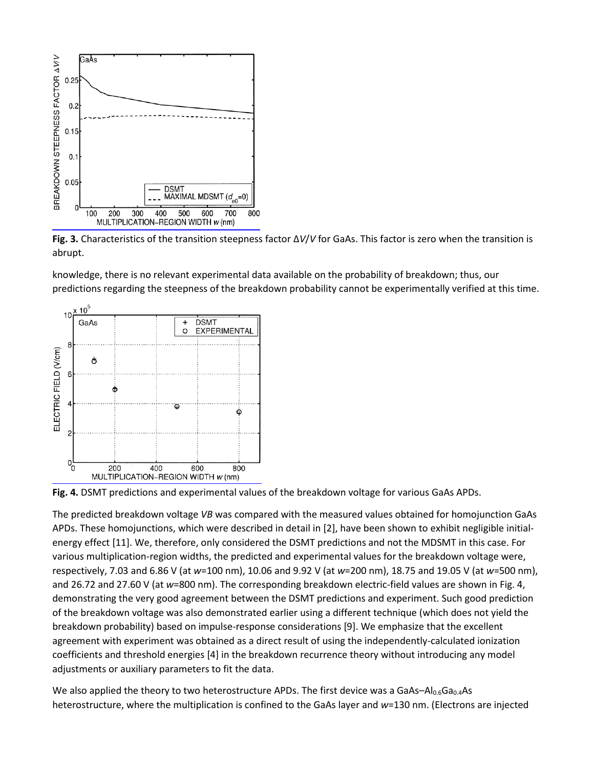

**Fig. 3.** Characteristics of the transition steepness factor Δ*V*/*V* for GaAs. This factor is zero when the transition is abrupt.

knowledge, there is no relevant experimental data available on the probability of breakdown; thus, our predictions regarding the steepness of the breakdown probability cannot be experimentally verified at this time.





The predicted breakdown voltage *VB* was compared with the measured values obtained for homojunction GaAs APDs. These homojunctions, which were described in detail in [2], have been shown to exhibit negligible initialenergy effect [11]. We, therefore, only considered the DSMT predictions and not the MDSMT in this case. For various multiplication-region widths, the predicted and experimental values for the breakdown voltage were, respectively, 7.03 and 6.86 V (at *w*=100 nm), 10.06 and 9.92 V (at *w*=200 nm), 18.75 and 19.05 V (at *w*=500 nm), and 26.72 and 27.60 V (at *w*=800 nm). The corresponding breakdown electric-field values are shown in Fig. 4, demonstrating the very good agreement between the DSMT predictions and experiment. Such good prediction of the breakdown voltage was also demonstrated earlier using a different technique (which does not yield the breakdown probability) based on impulse-response considerations [9]. We emphasize that the excellent agreement with experiment was obtained as a direct result of using the independently-calculated ionization coefficients and threshold energies [4] in the breakdown recurrence theory without introducing any model adjustments or auxiliary parameters to fit the data.

We also applied the theory to two heterostructure APDs. The first device was a GaAs–Al $_{0.6}$ Ga $_{0.4}$ As heterostructure, where the multiplication is confined to the GaAs layer and *w*=130 nm. (Electrons are injected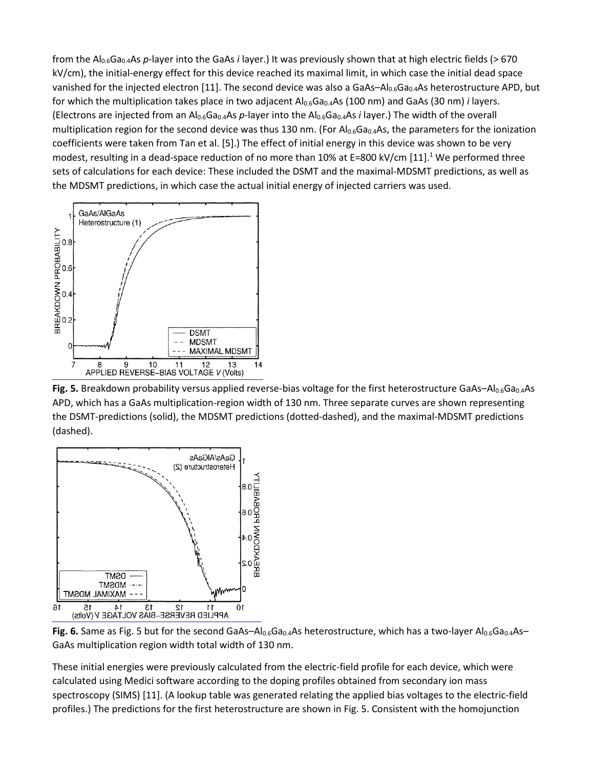from the Al0.6Ga0.4As *p*-layer into the GaAs *i* layer.) It was previously shown that at high electric fields (> 670 kV/cm), the initial-energy effect for this device reached its maximal limit, in which case the initial dead space vanished for the injected electron [11]. The second device was also a GaAs- $Al_{0.6}Ga_{0.4}As$  heterostructure APD, but for which the multiplication takes place in two adjacent Al<sub>0.6</sub>Ga<sub>0.4</sub>As (100 nm) and GaAs (30 nm) *i* layers. (Electrons are injected from an Al0.6Ga0.4As *p*-layer into the Al0.6Ga0.4As *i* layer.) The width of the overall multiplication region for the second device was thus 130 nm. (For  $Al_{0.6}Ga_{0.4}As$ , the parameters for the ionization coefficients were taken from Tan et al. [5].) The effect of initial energy in this device was shown to be very modest, resulting in a dead-space reduction of no more than 10% at E=800 kV/cm  $[11]$ .<sup>1</sup> We performed three sets of calculations for each device: These included the DSMT and the maximal-MDSMT predictions, as well as the MDSMT predictions, in which case the actual initial energy of injected carriers was used.



Fig. 5. Breakdown probability versus applied reverse-bias voltage for the first heterostructure GaAs–Al<sub>0.6</sub>Ga<sub>0.4</sub>As APD, which has a GaAs multiplication-region width of 130 nm. Three separate curves are shown representing the DSMT-predictions (solid), the MDSMT predictions (dotted-dashed), and the maximal-MDSMT predictions (dashed).



**Fig. 6.** Same as Fig. 5 but for the second GaAs–Al<sub>0.6</sub>Ga<sub>0.4</sub>As heterostructure, which has a two-layer Al<sub>0.6</sub>Ga<sub>0.4</sub>As– GaAs multiplication region width total width of 130 nm.

These initial energies were previously calculated from the electric-field profile for each device, which were calculated using Medici software according to the doping profiles obtained from secondary ion mass spectroscopy (SIMS) [11]. (A lookup table was generated relating the applied bias voltages to the electric-field profiles.) The predictions for the first heterostructure are shown in Fig. 5. Consistent with the homojunction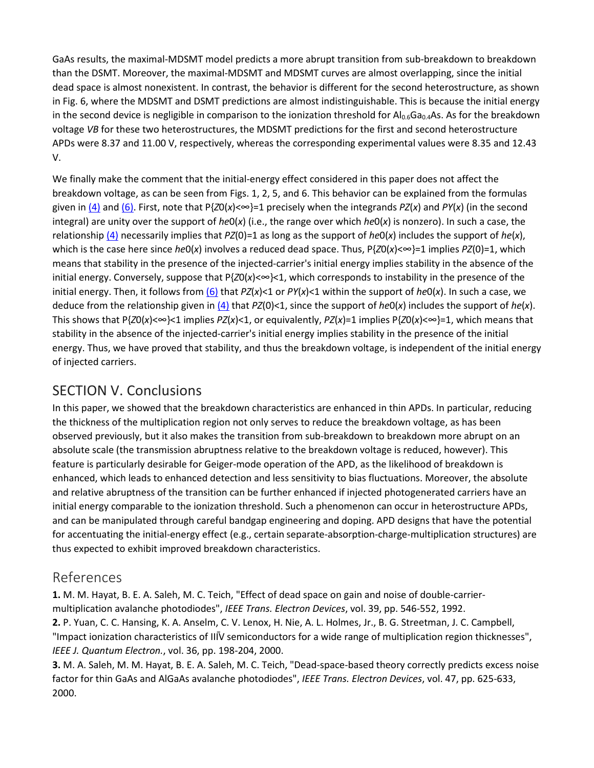GaAs results, the maximal-MDSMT model predicts a more abrupt transition from sub-breakdown to breakdown than the DSMT. Moreover, the maximal-MDSMT and MDSMT curves are almost overlapping, since the initial dead space is almost nonexistent. In contrast, the behavior is different for the second heterostructure, as shown in Fig. 6, where the MDSMT and DSMT predictions are almost indistinguishable. This is because the initial energy in the second device is negligible in comparison to the ionization threshold for  $Al_{0.6}Ga_{0.4}As$ . As for the breakdown voltage *VB* for these two heterostructures, the MDSMT predictions for the first and second heterostructure APDs were 8.37 and 11.00 V, respectively, whereas the corresponding experimental values were 8.35 and 12.43 V.

We finally make the comment that the initial-energy effect considered in this paper does not affect the breakdown voltage, as can be seen from Figs. 1, 2, 5, and 6. This behavior can be explained from the formulas given in  $(4)$  and  $(6)$ . First, note that P{*Z*0(*x*)< $\infty$ }=1 precisely when the integrands *PZ*(*x*) and *PY*(*x*) (in the second integral) are unity over the support of *he*0(*x*) (i.e., the range over which *he*0(*x*) is nonzero). In such a case, the relationship [\(4\)](https://ieeexplore.ieee.org/document/#deqn4-5) necessarily implies that *PZ*(0)=1 as long as the support of *he*0(*x*) includes the support of *he*(*x*), which is the case here since *he*0(*x*) involves a reduced dead space. Thus, P{*Z*0(*x*)<∞}=1 implies *PZ*(0)=1, which means that stability in the presence of the injected-carrier's initial energy implies stability in the absence of the initial energy. Conversely, suppose that P{*Z*0(*x*)<∞}<1, which corresponds to instability in the presence of the initial energy. Then, it follows fro[m \(6\)](https://ieeexplore.ieee.org/document/#deqn6) that *PZ*(*x*)<1 or *PY*(*x*)<1 within the support of *he*0(*x*). In such a case, we deduce from the relationship given in [\(4\)](https://ieeexplore.ieee.org/document/#deqn4-5) that *PZ*(0)<1, since the support of *he*0(*x*) includes the support of *he*(*x*). This shows that  $P\{Z0(x) \leq x \leq 1\}$  implies  $PZ(x) \leq 1$ , or equivalently,  $PZ(x)=1$  implies  $P\{Z0(x) \leq x \leq -1\}$ , which means that stability in the absence of the injected-carrier's initial energy implies stability in the presence of the initial energy. Thus, we have proved that stability, and thus the breakdown voltage, is independent of the initial energy of injected carriers.

## SECTION V. Conclusions

In this paper, we showed that the breakdown characteristics are enhanced in thin APDs. In particular, reducing the thickness of the multiplication region not only serves to reduce the breakdown voltage, as has been observed previously, but it also makes the transition from sub-breakdown to breakdown more abrupt on an absolute scale (the transmission abruptness relative to the breakdown voltage is reduced, however). This feature is particularly desirable for Geiger-mode operation of the APD, as the likelihood of breakdown is enhanced, which leads to enhanced detection and less sensitivity to bias fluctuations. Moreover, the absolute and relative abruptness of the transition can be further enhanced if injected photogenerated carriers have an initial energy comparable to the ionization threshold. Such a phenomenon can occur in heterostructure APDs, and can be manipulated through careful bandgap engineering and doping. APD designs that have the potential for accentuating the initial-energy effect (e.g., certain separate-absorption-charge-multiplication structures) are thus expected to exhibit improved breakdown characteristics.

## References

**1.** M. M. Hayat, B. E. A. Saleh, M. C. Teich, "Effect of dead space on gain and noise of double-carriermultiplication avalanche photodiodes", *IEEE Trans. Electron Devices*, vol. 39, pp. 546-552, 1992. **2.** P. Yuan, C. C. Hansing, K. A. Anselm, C. V. Lenox, H. Nie, A. L. Holmes, Jr., B. G. Streetman, J. C. Campbell, "Impact ionization characteristics of III�V semiconductors for a wide range of multiplication region thicknesses", *IEEE J. Quantum Electron.*, vol. 36, pp. 198-204, 2000.

**3.** M. A. Saleh, M. M. Hayat, B. E. A. Saleh, M. C. Teich, "Dead-space-based theory correctly predicts excess noise factor for thin GaAs and AlGaAs avalanche photodiodes", *IEEE Trans. Electron Devices*, vol. 47, pp. 625-633, 2000.